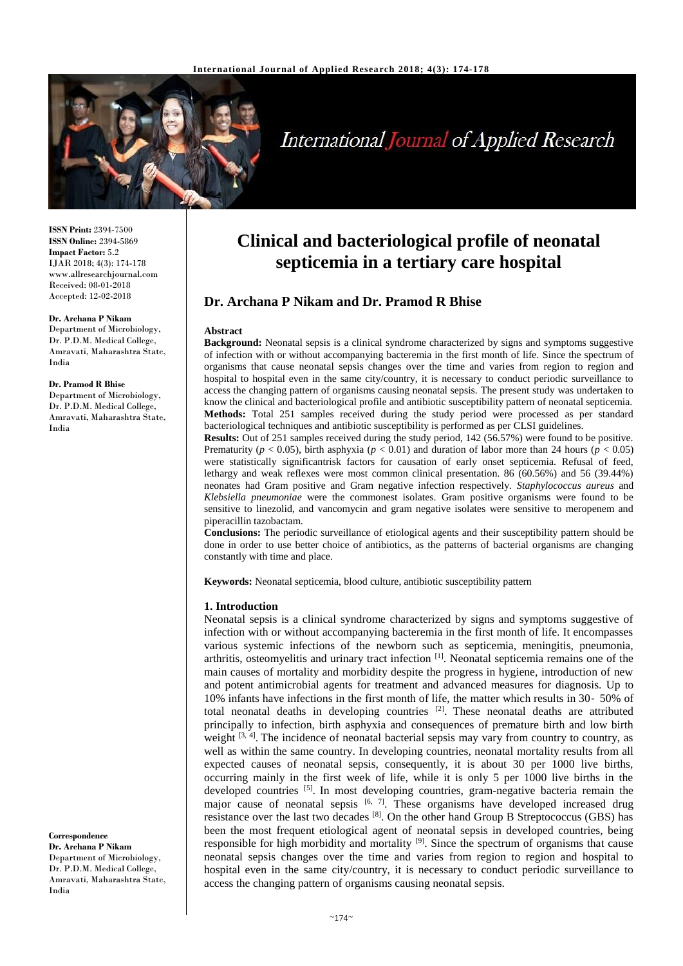

# **International Journal of Applied Research**

**ISSN Print:** 2394-7500 **ISSN Online:** 2394-5869 **Impact Factor:** 5.2 IJAR 2018; 4(3): 174-178 www.allresearchjournal.com Received: 08-01-2018 Accepted: 12-02-2018

#### **Dr. Archana P Nikam**

Department of Microbiology, Dr. P.D.M. Medical College, Amravati, Maharashtra State, India

#### **Dr. Pramod R Bhise**

Department of Microbiology, Dr. P.D.M. Medical College, Amravati, Maharashtra State, India

**Correspondence Dr. Archana P Nikam** Department of Microbiology, Dr. P.D.M. Medical College, Amravati, Maharashtra State, India

# **Clinical and bacteriological profile of neonatal septicemia in a tertiary care hospital**

# **Dr. Archana P Nikam and Dr. Pramod R Bhise**

#### **Abstract**

**Background:** Neonatal sepsis is a clinical syndrome characterized by signs and symptoms suggestive of infection with or without accompanying bacteremia in the first month of life. Since the spectrum of organisms that cause neonatal sepsis changes over the time and varies from region to region and hospital to hospital even in the same city/country, it is necessary to conduct periodic surveillance to access the changing pattern of organisms causing neonatal sepsis. The present study was undertaken to know the clinical and bacteriological profile and antibiotic susceptibility pattern of neonatal septicemia. **Methods:** Total 251 samples received during the study period were processed as per standard bacteriological techniques and antibiotic susceptibility is performed as per CLSI guidelines.

**Results:** Out of 251 samples received during the study period, 142 (56.57%) were found to be positive. Prematurity ( $p < 0.05$ ), birth asphyxia ( $p < 0.01$ ) and duration of labor more than 24 hours ( $p < 0.05$ ) were statistically significantrisk factors for causation of early onset septicemia. Refusal of feed, lethargy and weak reflexes were most common clinical presentation. 86 (60.56%) and 56 (39.44%) neonates had Gram positive and Gram negative infection respectively. *Staphylococcus aureus* and *Klebsiella pneumoniae* were the commonest isolates. Gram positive organisms were found to be sensitive to linezolid, and vancomycin and gram negative isolates were sensitive to meropenem and piperacillin tazobactam.

**Conclusions:** The periodic surveillance of etiological agents and their susceptibility pattern should be done in order to use better choice of antibiotics, as the patterns of bacterial organisms are changing constantly with time and place.

**Keywords:** Neonatal septicemia, blood culture, antibiotic susceptibility pattern

#### **1. Introduction**

Neonatal sepsis is a clinical syndrome characterized by signs and symptoms suggestive of infection with or without accompanying bacteremia in the first month of life. It encompasses various systemic infections of the newborn such as septicemia, meningitis, pneumonia, arthritis, osteomyelitis and urinary tract infection [1]. Neonatal septicemia remains one of the main causes of mortality and morbidity despite the progress in hygiene, introduction of new and potent antimicrobial agents for treatment and advanced measures for diagnosis. Up to 10% infants have infections in the first month of life, the matter which results in 30‐ 50% of total neonatal deaths in developing countries [2]. These neonatal deaths are attributed principally to infection, birth asphyxia and consequences of premature birth and low birth weight  $[3, 4]$ . The incidence of neonatal bacterial sepsis may vary from country to country, as well as within the same country. In developing countries, neonatal mortality results from all expected causes of neonatal sepsis, consequently, it is about 30 per 1000 live births, occurring mainly in the first week of life, while it is only 5 per 1000 live births in the developed countries <sup>[5]</sup>. In most developing countries, gram-negative bacteria remain the major cause of neonatal sepsis  $[6, 7]$ . These organisms have developed increased drug resistance over the last two decades  $[8]$ . On the other hand Group B Streptococcus (GBS) has been the most frequent etiological agent of neonatal sepsis in developed countries, being responsible for high morbidity and mortality  $[9]$ . Since the spectrum of organisms that cause neonatal sepsis changes over the time and varies from region to region and hospital to hospital even in the same city/country, it is necessary to conduct periodic surveillance to access the changing pattern of organisms causing neonatal sepsis.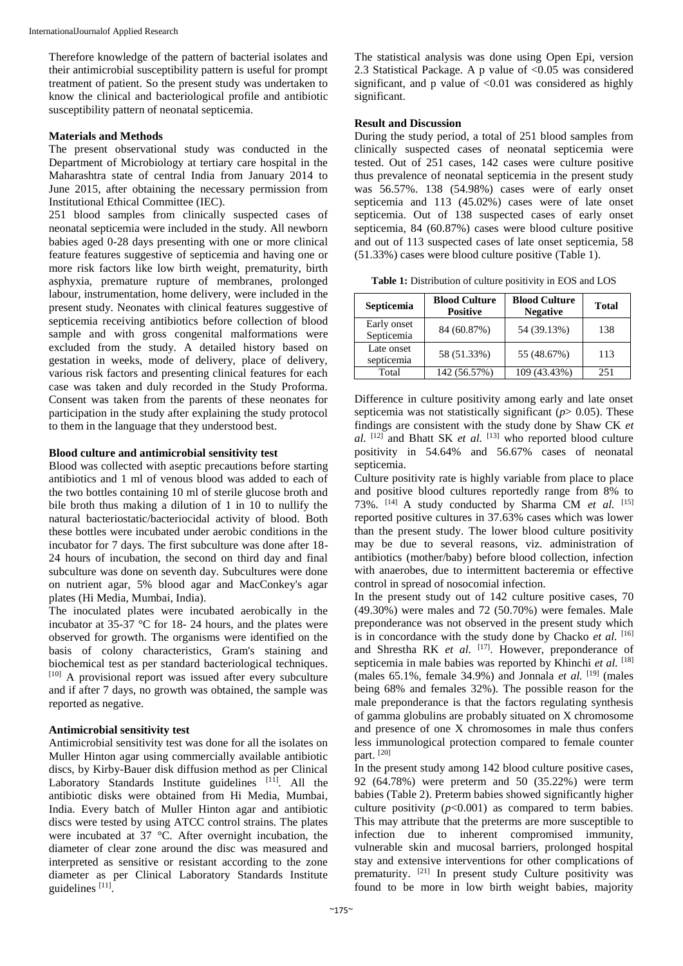Therefore knowledge of the pattern of bacterial isolates and their antimicrobial susceptibility pattern is useful for prompt treatment of patient. So the present study was undertaken to know the clinical and bacteriological profile and antibiotic susceptibility pattern of neonatal septicemia.

### **Materials and Methods**

The present observational study was conducted in the Department of Microbiology at tertiary care hospital in the Maharashtra state of central India from January 2014 to June 2015, after obtaining the necessary permission from Institutional Ethical Committee (IEC).

251 blood samples from clinically suspected cases of neonatal septicemia were included in the study. All newborn babies aged 0-28 days presenting with one or more clinical feature features suggestive of septicemia and having one or more risk factors like low birth weight, prematurity, birth asphyxia, premature rupture of membranes, prolonged labour, instrumentation, home delivery, were included in the present study. Neonates with clinical features suggestive of septicemia receiving antibiotics before collection of blood sample and with gross congenital malformations were excluded from the study. A detailed history based on gestation in weeks, mode of delivery, place of delivery, various risk factors and presenting clinical features for each case was taken and duly recorded in the Study Proforma. Consent was taken from the parents of these neonates for participation in the study after explaining the study protocol to them in the language that they understood best.

## **Blood culture and antimicrobial sensitivity test**

Blood was collected with aseptic precautions before starting antibiotics and 1 ml of venous blood was added to each of the two bottles containing 10 ml of sterile glucose broth and bile broth thus making a dilution of 1 in 10 to nullify the natural bacteriostatic/bacteriocidal activity of blood. Both these bottles were incubated under aerobic conditions in the incubator for 7 days. The first subculture was done after 18- 24 hours of incubation, the second on third day and final subculture was done on seventh day. Subcultures were done on nutrient agar, 5% blood agar and MacConkey's agar plates (Hi Media, Mumbai, India).

The inoculated plates were incubated aerobically in the incubator at 35-37 °C for 18- 24 hours, and the plates were observed for growth. The organisms were identified on the basis of colony characteristics, Gram's staining and biochemical test as per standard bacteriological techniques. [10] A provisional report was issued after every subculture and if after 7 days, no growth was obtained, the sample was reported as negative.

# **Antimicrobial sensitivity test**

Antimicrobial sensitivity test was done for all the isolates on Muller Hinton agar using commercially available antibiotic discs, by Kirby-Bauer disk diffusion method as per Clinical Laboratory Standards Institute guidelines [11]. All the antibiotic disks were obtained from Hi Media, Mumbai, India. Every batch of Muller Hinton agar and antibiotic discs were tested by using ATCC control strains. The plates were incubated at 37 °C. After overnight incubation, the diameter of clear zone around the disc was measured and interpreted as sensitive or resistant according to the zone diameter as per Clinical Laboratory Standards Institute guidelines<sup>[11]</sup>.

The statistical analysis was done using Open Epi, version 2.3 Statistical Package. A p value of <0.05 was considered significant, and p value of  $\leq 0.01$  was considered as highly significant.

# **Result and Discussion**

During the study period, a total of 251 blood samples from clinically suspected cases of neonatal septicemia were tested. Out of 251 cases, 142 cases were culture positive thus prevalence of neonatal septicemia in the present study was 56.57%. 138 (54.98%) cases were of early onset septicemia and 113 (45.02%) cases were of late onset septicemia. Out of 138 suspected cases of early onset septicemia, 84 (60.87%) cases were blood culture positive and out of 113 suspected cases of late onset septicemia, 58 (51.33%) cases were blood culture positive (Table 1).

**Table 1:** Distribution of culture positivity in EOS and LOS

| Septicemia                | <b>Blood Culture</b><br><b>Positive</b> | <b>Blood Culture</b><br><b>Negative</b> | <b>Total</b> |
|---------------------------|-----------------------------------------|-----------------------------------------|--------------|
| Early onset<br>Septicemia | 84 (60.87%)                             | 54 (39.13%)                             | 138          |
| Late onset<br>septicemia  | 58 (51.33%)                             | 55 (48.67%)                             | 113          |
| Total                     | 142 (56.57%)                            | 109 (43.43%)                            | 251          |

Difference in culture positivity among early and late onset septicemia was not statistically significant (*p*> 0.05). These findings are consistent with the study done by Shaw CK *et al.* [12] and Bhatt SK *et al.* [13] who reported blood culture positivity in 54.64% and 56.67% cases of neonatal septicemia.

Culture positivity rate is highly variable from place to place and positive blood cultures reportedly range from 8% to 73%. [14] A study conducted by Sharma CM *et al.* [15] reported positive cultures in 37.63% cases which was lower than the present study. The lower blood culture positivity may be due to several reasons, viz. administration of antibiotics (mother/baby) before blood collection, infection with anaerobes, due to intermittent bacteremia or effective control in spread of nosocomial infection.

In the present study out of 142 culture positive cases, 70 (49.30%) were males and 72 (50.70%) were females. Male preponderance was not observed in the present study which is in concordance with the study done by Chacko *et al.*  $[16]$ and Shrestha RK *et al.* [17]. However, preponderance of septicemia in male babies was reported by Khinchi *et al.* [18] (males  $65.1\%$ , female  $34.9\%$ ) and Jonnala *et al.* <sup>[19]</sup> (males being 68% and females 32%). The possible reason for the male preponderance is that the factors regulating synthesis of gamma globulins are probably situated on X chromosome and presence of one X chromosomes in male thus confers less immunological protection compared to female counter part. [20]

In the present study among 142 blood culture positive cases, 92 (64.78%) were preterm and 50 (35.22%) were term babies (Table 2). Preterm babies showed significantly higher culture positivity  $(p<0.001)$  as compared to term babies. This may attribute that the preterms are more susceptible to infection due to inherent compromised immunity, vulnerable skin and mucosal barriers, prolonged hospital stay and extensive interventions for other complications of prematurity. <sup>[21]</sup> In present study Culture positivity was found to be more in low birth weight babies, majority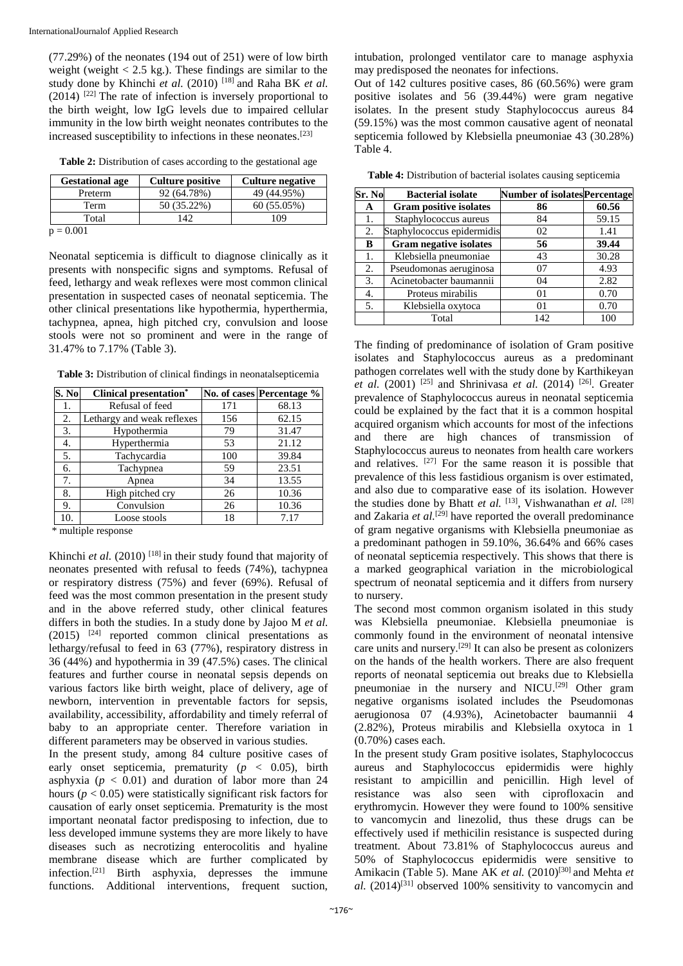(77.29%) of the neonates (194 out of 251) were of low birth weight (weight  $< 2.5$  kg.). These findings are similar to the study done by Khinchi et al. (2010)<sup>[18]</sup> and Raha BK et al.  $(2014)$ <sup>[22]</sup> The rate of infection is inversely proportional to the birth weight, low IgG levels due to impaired cellular immunity in the low birth weight neonates contributes to the increased susceptibility to infections in these neonates.[23]

|  | Table 2: Distribution of cases according to the gestational age |  |
|--|-----------------------------------------------------------------|--|
|--|-----------------------------------------------------------------|--|

| <b>Gestational age</b> | <b>Culture positive</b> | <b>Culture negative</b> |
|------------------------|-------------------------|-------------------------|
| Preterm                | 92 (64.78%)             | 49 (44.95%)             |
| Term                   | 50 (35.22%)             | 60(55.05%)              |
| Total                  | 142                     | 109                     |
|                        |                         |                         |

 $0.001$ 

Neonatal septicemia is difficult to diagnose clinically as it presents with nonspecific signs and symptoms. Refusal of feed, lethargy and weak reflexes were most common clinical presentation in suspected cases of neonatal septicemia. The other clinical presentations like hypothermia, hyperthermia, tachypnea, apnea, high pitched cry, convulsion and loose stools were not so prominent and were in the range of 31.47% to 7.17% (Table 3).

**Table 3:** Distribution of clinical findings in neonatalsepticemia

| S. No | <b>Clinical presentation*</b> |     | No. of cases Percentage % |
|-------|-------------------------------|-----|---------------------------|
| 1.    | Refusal of feed               | 171 | 68.13                     |
| 2.    | Lethargy and weak reflexes    | 156 | 62.15                     |
| 3.    | Hypothermia                   | 79  | 31.47                     |
| 4.    | Hyperthermia                  | 53  | 21.12                     |
| 5.    | Tachycardia                   | 100 | 39.84                     |
| 6.    | Tachypnea                     | 59  | 23.51                     |
| 7.    | Apnea                         | 34  | 13.55                     |
| 8.    | High pitched cry              | 26  | 10.36                     |
| 9.    | Convulsion                    | 26  | 10.36                     |
| 10.   | Loose stools                  | 18  | 7.17                      |

\* multiple response

Khinchi *et al.* (2010)<sup>[18]</sup> in their study found that majority of neonates presented with refusal to feeds (74%), tachypnea or respiratory distress (75%) and fever (69%). Refusal of feed was the most common presentation in the present study and in the above referred study, other clinical features differs in both the studies. In a study done by Jajoo M *et al.*  $(2015)$  <sup>[24]</sup> reported common clinical presentations as lethargy/refusal to feed in 63 (77%), respiratory distress in 36 (44%) and hypothermia in 39 (47.5%) cases. The clinical features and further course in neonatal sepsis depends on various factors like birth weight, place of delivery, age of newborn, intervention in preventable factors for sepsis, availability, accessibility, affordability and timely referral of baby to an appropriate center. Therefore variation in different parameters may be observed in various studies.

In the present study, among 84 culture positive cases of early onset septicemia, prematurity  $(p < 0.05)$ , birth asphyxia ( $p < 0.01$ ) and duration of labor more than 24 hours ( $p < 0.05$ ) were statistically significant risk factors for causation of early onset septicemia. Prematurity is the most important neonatal factor predisposing to infection, due to less developed immune systems they are more likely to have diseases such as necrotizing enterocolitis and hyaline membrane disease which are further complicated by infection.[21] Birth asphyxia, depresses the immune functions. Additional interventions, frequent suction, intubation, prolonged ventilator care to manage asphyxia may predisposed the neonates for infections.

Out of 142 cultures positive cases, 86 (60.56%) were gram positive isolates and 56 (39.44%) were gram negative isolates. In the present study Staphylococcus aureus 84 (59.15%) was the most common causative agent of neonatal septicemia followed by Klebsiella pneumoniae 43 (30.28%) Table 4.

**Table 4:** Distribution of bacterial isolates causing septicemia

| Sr. No | <b>Bacterial isolate</b>      | <b>Number of isolatesPercentage</b> |       |  |  |
|--------|-------------------------------|-------------------------------------|-------|--|--|
| A      | <b>Gram positive isolates</b> | 86                                  | 60.56 |  |  |
| 1.     | Staphylococcus aureus         | 84                                  | 59.15 |  |  |
| 2.     | Staphylococcus epidermidis    | 02                                  | 1.41  |  |  |
| B      | <b>Gram negative isolates</b> | 56                                  | 39.44 |  |  |
| 1.     | Klebsiella pneumoniae         | 43                                  | 30.28 |  |  |
| 2.     | Pseudomonas aeruginosa        | 07                                  | 4.93  |  |  |
| 3.     | Acinetobacter baumannii       | 04                                  | 2.82  |  |  |
| 4.     | Proteus mirabilis             | 0 <sub>1</sub>                      | 0.70  |  |  |
| 5.     | Klebsiella oxytoca            | 01                                  | 0.70  |  |  |
|        | Total                         | 142                                 | 100   |  |  |

The finding of predominance of isolation of Gram positive isolates and Staphylococcus aureus as a predominant pathogen correlates well with the study done by Karthikeyan *et al.* (2001)<sup>[25]</sup> and Shrinivasa *et al.* (2014)<sup>[26]</sup>. Greater prevalence of Staphylococcus aureus in neonatal septicemia could be explained by the fact that it is a common hospital acquired organism which accounts for most of the infections and there are high chances of transmission of Staphylococcus aureus to neonates from health care workers and relatives.  $[27]$  For the same reason it is possible that prevalence of this less fastidious organism is over estimated, and also due to comparative ease of its isolation. However the studies done by Bhatt *et al.* [13] , Vishwanathan *et al.* [28] and Zakaria *et al.*<sup>[29]</sup> have reported the overall predominance of gram negative organisms with Klebsiella pneumoniae as a predominant pathogen in 59.10%, 36.64% and 66% cases of neonatal septicemia respectively. This shows that there is a marked geographical variation in the microbiological spectrum of neonatal septicemia and it differs from nursery to nursery.

The second most common organism isolated in this study was Klebsiella pneumoniae. Klebsiella pneumoniae is commonly found in the environment of neonatal intensive care units and nursery.[29] It can also be present as colonizers on the hands of the health workers. There are also frequent reports of neonatal septicemia out breaks due to Klebsiella pneumoniae in the nursery and NICU.<sup>[29]</sup> Other gram negative organisms isolated includes the Pseudomonas aerugionosa 07 (4.93%), Acinetobacter baumannii 4 (2.82%), Proteus mirabilis and Klebsiella oxytoca in 1 (0.70%) cases each.

In the present study Gram positive isolates, Staphylococcus aureus and Staphylococcus epidermidis were highly resistant to ampicillin and penicillin. High level of resistance was also seen with ciprofloxacin and erythromycin. However they were found to 100% sensitive to vancomycin and linezolid, thus these drugs can be effectively used if methicilin resistance is suspected during treatment. About 73.81% of Staphylococcus aureus and 50% of Staphylococcus epidermidis were sensitive to Amikacin (Table 5). Mane AK *et al.* (2010)<sup>[30]</sup> and Mehta *et al.* (2014)[31] observed 100% sensitivity to vancomycin and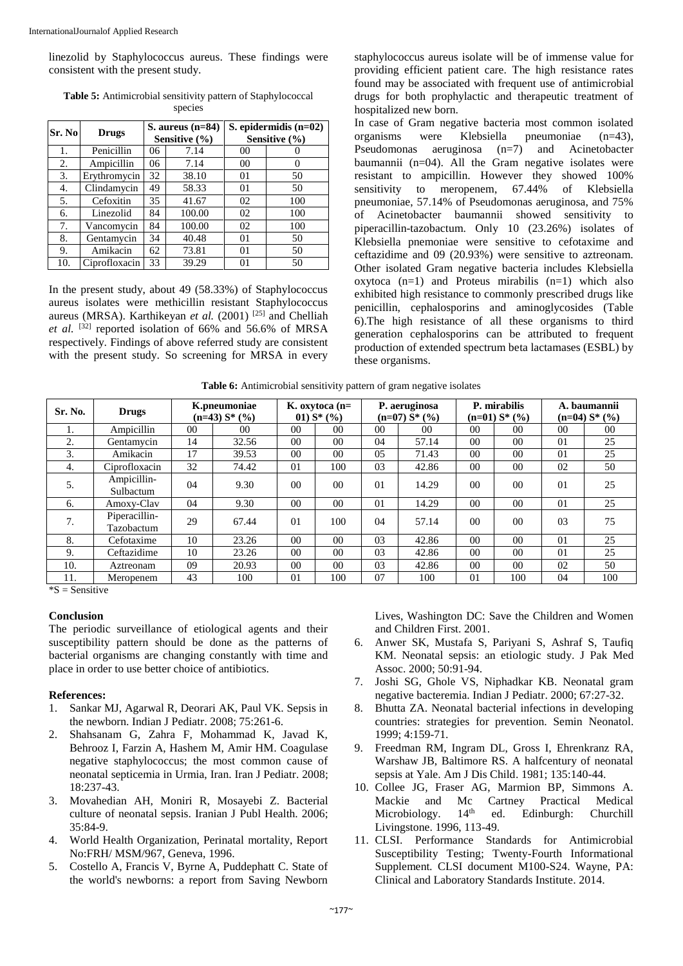linezolid by Staphylococcus aureus. These findings were consistent with the present study.

| <b>Table 5:</b> Antimicrobial sensitivity pattern of Staphylococcal |
|---------------------------------------------------------------------|
| species                                                             |

| Sr. No | <b>Drugs</b>  |    | S. aureus $(n=84)$<br>Sensitive (%) | S. epidermidis $(n=02)$<br>Sensitive (%) |     |  |
|--------|---------------|----|-------------------------------------|------------------------------------------|-----|--|
| 1.     | Penicillin    | 06 | 7.14                                | 00                                       |     |  |
| 2.     | Ampicillin    | 06 | 7.14                                | 00                                       |     |  |
| 3.     | Erythromycin  | 32 | 38.10                               | 01                                       | 50  |  |
| 4.     | Clindamycin   | 49 | 58.33                               | 01                                       | 50  |  |
| 5.     | Cefoxitin     | 35 | 41.67                               | 02                                       | 100 |  |
| 6.     | Linezolid     | 84 | 100.00                              | 02                                       | 100 |  |
| 7.     | Vancomycin    | 84 | 100.00                              | 02                                       | 100 |  |
| 8.     | Gentamycin    | 34 | 40.48                               | 01                                       | 50  |  |
| 9.     | Amikacin      | 62 | 73.81                               | 01                                       | 50  |  |
| 10.    | Ciprofloxacin | 33 | 39.29                               | 01                                       | 50  |  |

In the present study, about 49 (58.33%) of Staphylococcus aureus isolates were methicillin resistant Staphylococcus aureus (MRSA). Karthikeyan *et al.* (2001)<sup>[25]</sup> and Chelliah *et al.* [32] reported isolation of 66% and 56.6% of MRSA respectively. Findings of above referred study are consistent with the present study. So screening for MRSA in every

staphylococcus aureus isolate will be of immense value for providing efficient patient care. The high resistance rates found may be associated with frequent use of antimicrobial drugs for both prophylactic and therapeutic treatment of hospitalized new born.

In case of Gram negative bacteria most common isolated organisms were Klebsiella pneumoniae  $(n=43)$ ,<br>Pseudomonas aeruginosa  $(n=7)$  and Acinetobacter Pseudomonas aeruginosa  $(n=7)$  and baumannii (n=04). All the Gram negative isolates were resistant to ampicillin. However they showed 100% sensitivity to meropenem, 67.44% of Klebsiella pneumoniae, 57.14% of Pseudomonas aeruginosa, and 75% of Acinetobacter baumannii showed sensitivity to piperacillin-tazobactum. Only 10 (23.26%) isolates of Klebsiella pnemoniae were sensitive to cefotaxime and ceftazidime and 09 (20.93%) were sensitive to aztreonam. Other isolated Gram negative bacteria includes Klebsiella oxytoca  $(n=1)$  and Proteus mirabilis  $(n=1)$  which also exhibited high resistance to commonly prescribed drugs like penicillin, cephalosporins and aminoglycosides (Table 6).The high resistance of all these organisms to third generation cephalosporins can be attributed to frequent production of extended spectrum beta lactamases (ESBL) by these organisms.

| Sr. No. | <b>Drugs</b>                |    | K.pneumoniae<br>$(n=43) S^*(%$ |                | $K.$ oxytoca ( $n=$<br>01) $S^*(\%)$ |                | P. aeruginosa<br>$(n=07) S^* (%)$ |                | P. mirabilis<br>$(n=01) S^*(\%)$ |                | A. baumannii<br>$(n=04) S^*(\%)$ |  |
|---------|-----------------------------|----|--------------------------------|----------------|--------------------------------------|----------------|-----------------------------------|----------------|----------------------------------|----------------|----------------------------------|--|
| ı.      | Ampicillin                  | 00 | 0 <sup>0</sup>                 | 0 <sup>0</sup> | 0 <sup>0</sup>                       | 0 <sub>0</sub> | 0 <sup>0</sup>                    | 0 <sub>0</sub> | 00                               | 0 <sup>0</sup> | 00                               |  |
| 2.      | Gentamycin                  | 14 | 32.56                          | 0 <sub>0</sub> | 0 <sup>0</sup>                       | 04             | 57.14                             | 0 <sub>0</sub> | 0 <sub>0</sub>                   | 01             | 25                               |  |
| 3.      | Amikacin                    | 17 | 39.53                          | 0 <sub>0</sub> | 0 <sup>0</sup>                       | 05             | 71.43                             | 0 <sup>0</sup> | 0 <sup>0</sup>                   | 01             | 25                               |  |
| 4.      | Ciprofloxacin               | 32 | 74.42                          | 01             | 100                                  | 03             | 42.86                             | 0 <sup>0</sup> | $00\,$                           | 02             | 50                               |  |
| 5.      | Ampicillin-<br>Sulbactum    | 04 | 9.30                           | 0 <sub>0</sub> | 0 <sup>0</sup>                       | 0 <sub>1</sub> | 14.29                             | 0 <sup>0</sup> | 0 <sub>0</sub>                   | 01             | 25                               |  |
| 6.      | Amoxy-Clav                  | 04 | 9.30                           | 0 <sub>0</sub> | 0 <sup>0</sup>                       | 01             | 14.29                             | 0 <sub>0</sub> | 0 <sub>0</sub>                   | 01             | 25                               |  |
| 7.      | Piperacillin-<br>Tazobactum | 29 | 67.44                          | 01             | 100                                  | 04             | 57.14                             | 0 <sub>0</sub> | 0 <sub>0</sub>                   | 03             | 75                               |  |
| 8.      | Cefotaxime                  | 10 | 23.26                          | 0 <sup>0</sup> | 0 <sup>0</sup>                       | 03             | 42.86                             | 0 <sup>0</sup> | 0 <sup>0</sup>                   | 0 <sub>1</sub> | 25                               |  |
| 9.      | Ceftazidime                 | 10 | 23.26                          | 0 <sub>0</sub> | 0 <sup>0</sup>                       | 03             | 42.86                             | 0 <sub>0</sub> | 0 <sub>0</sub>                   | 01             | 25                               |  |
| 10.     | Aztreonam                   | 09 | 20.93                          | 0 <sup>0</sup> | 0 <sup>0</sup>                       | 03             | 42.86                             | 0 <sub>0</sub> | 0 <sup>0</sup>                   | 02             | 50                               |  |
| 11.     | Meropenem                   | 43 | 100                            | 01             | 100                                  | 07             | 100                               | 01             | 100                              | 04             | 100                              |  |

 $*S =$ Sensitive

#### **Conclusion**

The periodic surveillance of etiological agents and their susceptibility pattern should be done as the patterns of bacterial organisms are changing constantly with time and place in order to use better choice of antibiotics.

#### **References:**

- 1. Sankar MJ, Agarwal R, Deorari AK, Paul VK. Sepsis in the newborn. Indian J Pediatr. 2008; 75:261-6.
- 2. Shahsanam G, Zahra F, Mohammad K, Javad K, Behrooz I, Farzin A, Hashem M, Amir HM. Coagulase negative staphylococcus; the most common cause of neonatal septicemia in Urmia, Iran. Iran J Pediatr. 2008; 18:237-43.
- 3. Movahedian AH, Moniri R, Mosayebi Z. Bacterial culture of neonatal sepsis. Iranian J Publ Health. 2006; 35:84-9.
- 4. World Health Organization, Perinatal mortality, Report No:FRH/ MSM/967, Geneva, 1996.
- 5. Costello A, Francis V, Byrne A, Puddephatt C. State of the world's newborns: a report from Saving Newborn

Lives, Washington DC: Save the Children and Women and Children First. 2001.

- 6. Anwer SK, Mustafa S, Pariyani S, Ashraf S, Taufiq KM. Neonatal sepsis: an etiologic study. J Pak Med Assoc. 2000; 50:91-94.
- 7. Joshi SG, Ghole VS, Niphadkar KB. Neonatal gram negative bacteremia. Indian J Pediatr. 2000; 67:27-32.
- 8. Bhutta ZA. Neonatal bacterial infections in developing countries: strategies for prevention. Semin Neonatol. 1999; 4:159-71.
- 9. Freedman RM, Ingram DL, Gross I, Ehrenkranz RA, Warshaw JB, Baltimore RS. A halfcentury of neonatal sepsis at Yale. Am J Dis Child. 1981; 135:140-44.
- 10. Collee JG, Fraser AG, Marmion BP, Simmons A. Mackie and Mc Cartney Practical Medical Microbiology.  $14<sup>th</sup>$  ed. Edinburgh: Churchill Livingstone. 1996, 113-49.
- 11. CLSI. Performance Standards for Antimicrobial Susceptibility Testing; Twenty-Fourth Informational Supplement*.* CLSI document M100-S24. Wayne, PA: Clinical and Laboratory Standards Institute. 2014.